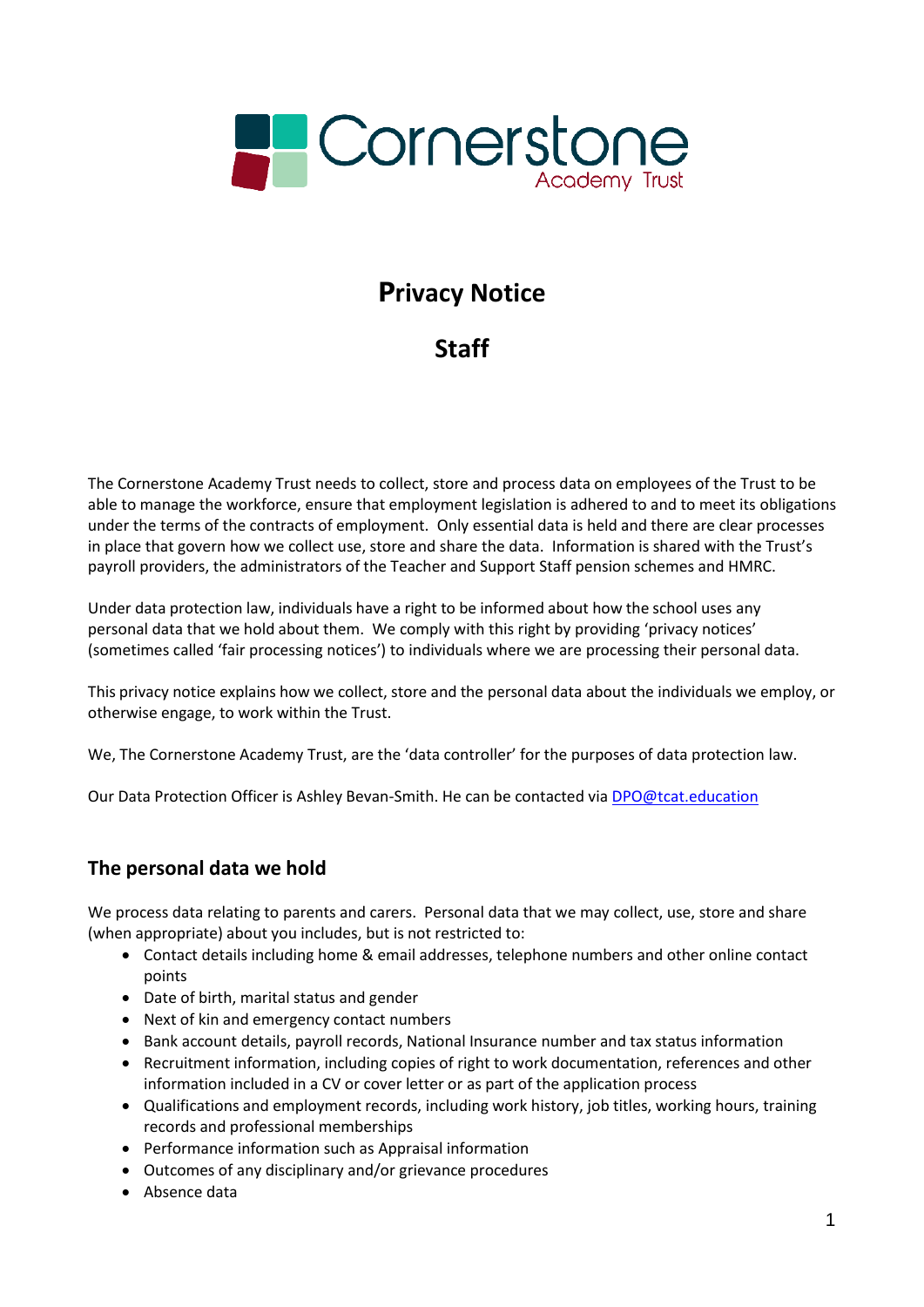

# **Privacy Notice**

# **Staff**

The Cornerstone Academy Trust needs to collect, store and process data on employees of the Trust to be able to manage the workforce, ensure that employment legislation is adhered to and to meet its obligations under the terms of the contracts of employment. Only essential data is held and there are clear processes in place that govern how we collect use, store and share the data. Information is shared with the Trust's payroll providers, the administrators of the Teacher and Support Staff pension schemes and HMRC.

Under data protection law, individuals have a right to be informed about how the school uses any personal data that we hold about them. We comply with this right by providing 'privacy notices' (sometimes called 'fair processing notices') to individuals where we are processing their personal data.

This privacy notice explains how we collect, store and the personal data about the individuals we employ, or otherwise engage, to work within the Trust.

We, The Cornerstone Academy Trust, are the 'data controller' for the purposes of data protection law.

Our Data Protection Officer is Ashley Bevan-Smith. He can be contacted vi[a DPO@tcat.education](mailto:DPO@tcat.education)

## **The personal data we hold**

We process data relating to parents and carers. Personal data that we may collect, use, store and share (when appropriate) about you includes, but is not restricted to:

- Contact details including home & email addresses, telephone numbers and other online contact points
- Date of birth, marital status and gender
- Next of kin and emergency contact numbers
- Bank account details, payroll records, National Insurance number and tax status information
- Recruitment information, including copies of right to work documentation, references and other information included in a CV or cover letter or as part of the application process
- Qualifications and employment records, including work history, job titles, working hours, training records and professional memberships
- Performance information such as Appraisal information
- Outcomes of any disciplinary and/or grievance procedures
- Absence data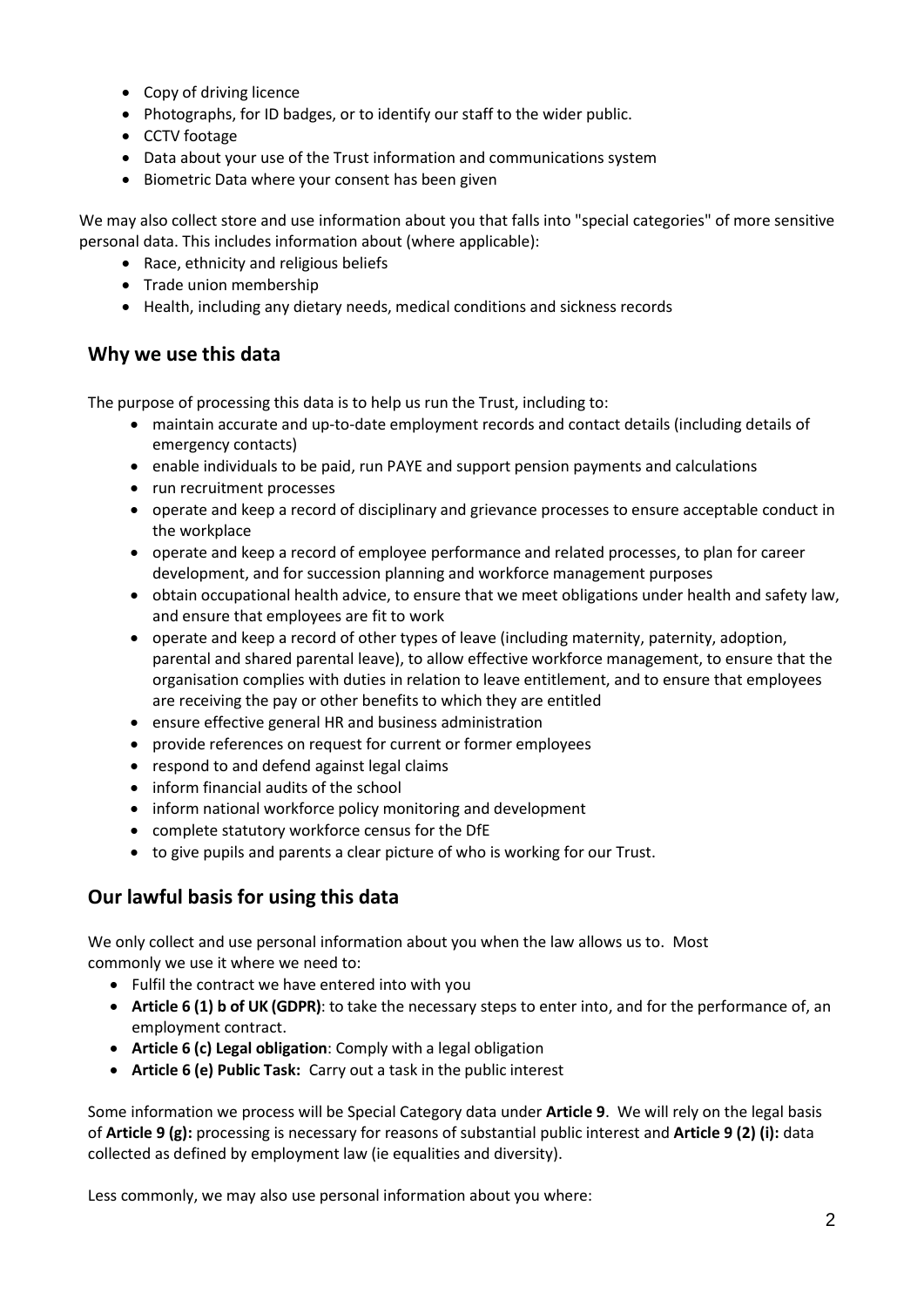- Copy of driving licence
- Photographs, for ID badges, or to identify our staff to the wider public.
- CCTV footage
- Data about your use of the Trust information and communications system
- Biometric Data where your consent has been given

We may also collect store and use information about you that falls into "special categories" of more sensitive personal data. This includes information about (where applicable):

- Race, ethnicity and religious beliefs
- Trade union membership
- Health, including any dietary needs, medical conditions and sickness records

#### **Why we use this data**

The purpose of processing this data is to help us run the Trust, including to:

- maintain accurate and up-to-date employment records and contact details (including details of emergency contacts)
- enable individuals to be paid, run PAYE and support pension payments and calculations
- run recruitment processes
- operate and keep a record of disciplinary and grievance processes to ensure acceptable conduct in the workplace
- operate and keep a record of employee performance and related processes, to plan for career development, and for succession planning and workforce management purposes
- obtain occupational health advice, to ensure that we meet obligations under health and safety law, and ensure that employees are fit to work
- operate and keep a record of other types of leave (including maternity, paternity, adoption, parental and shared parental leave), to allow effective workforce management, to ensure that the organisation complies with duties in relation to leave entitlement, and to ensure that employees are receiving the pay or other benefits to which they are entitled
- ensure effective general HR and business administration
- provide references on request for current or former employees
- respond to and defend against legal claims
- inform financial audits of the school
- inform national workforce policy monitoring and development
- complete statutory workforce census for the DfE
- to give pupils and parents a clear picture of who is working for our Trust.

## **Our lawful basis for using this data**

We only collect and use personal information about you when the law allows us to. Most commonly we use it where we need to:

- Fulfil the contract we have entered into with you
- **Article 6 (1) b of UK (GDPR)**: to take the necessary steps to enter into, and for the performance of, an employment contract.
- **Article 6 (c) Legal obligation**: Comply with a legal obligation
- **Article 6 (e) Public Task:** Carry out a task in the public interest

Some information we process will be Special Category data under **Article 9**. We will rely on the legal basis of **Article 9 (g):** processing is necessary for reasons of substantial public interest and **Article 9 (2) (i):** data collected as defined by employment law (ie equalities and diversity).

Less commonly, we may also use personal information about you where: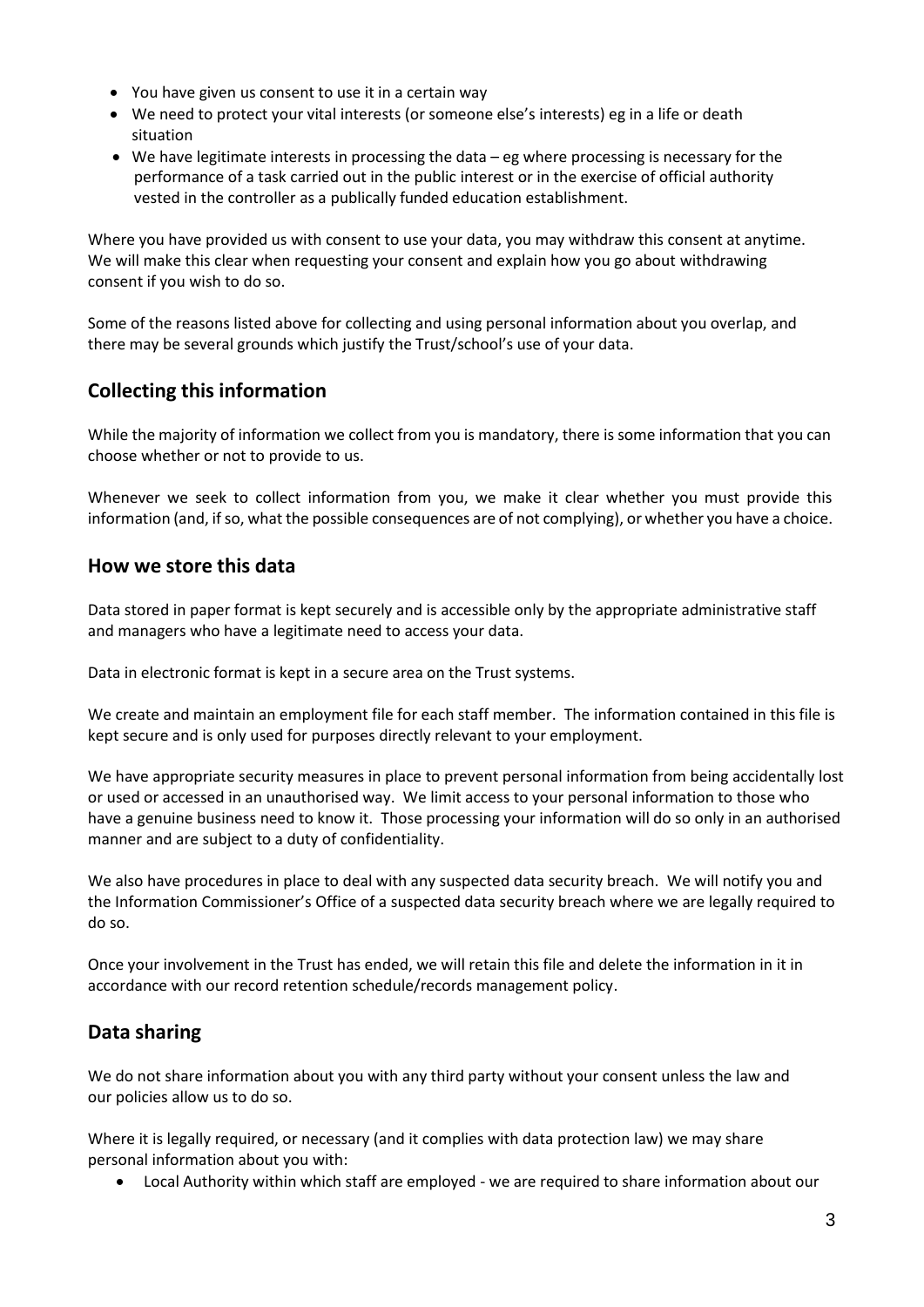- You have given us consent to use it in a certain way
- We need to protect your vital interests (or someone else's interests) eg in a life or death situation
- We have legitimate interests in processing the data eg where processing is necessary for the performance of a task carried out in the public interest or in the exercise of official authority vested in the controller as a publically funded education establishment.

Where you have provided us with consent to use your data, you may withdraw this consent at anytime. We will make this clear when requesting your consent and explain how you go about withdrawing consent if you wish to do so.

Some of the reasons listed above for collecting and using personal information about you overlap, and there may be several grounds which justify the Trust/school's use of your data.

# **Collecting this information**

While the majority of information we collect from you is mandatory, there is some information that you can choose whether or not to provide to us.

Whenever we seek to collect information from you, we make it clear whether you must provide this information (and, if so, what the possible consequences are of not complying), or whether you have a choice.

#### **How we store this data**

Data stored in paper format is kept securely and is accessible only by the appropriate administrative staff and managers who have a legitimate need to access your data.

Data in electronic format is kept in a secure area on the Trust systems.

We create and maintain an employment file for each staff member. The information contained in this file is kept secure and is only used for purposes directly relevant to your employment.

We have appropriate security measures in place to prevent personal information from being accidentally lost or used or accessed in an unauthorised way. We limit access to your personal information to those who have a genuine business need to know it. Those processing your information will do so only in an authorised manner and are subject to a duty of confidentiality.

We also have procedures in place to deal with any suspected data security breach. We will notify you and the Information Commissioner's Office of a suspected data security breach where we are legally required to do so.

Once your involvement in the Trust has ended, we will retain this file and delete the information in it in accordance with our record retention schedule/records management policy.

## **Data sharing**

We do not share information about you with any third party without your consent unless the law and our policies allow us to do so.

Where it is legally required, or necessary (and it complies with data protection law) we may share personal information about you with:

• Local Authority within which staff are employed - we are required to share information about our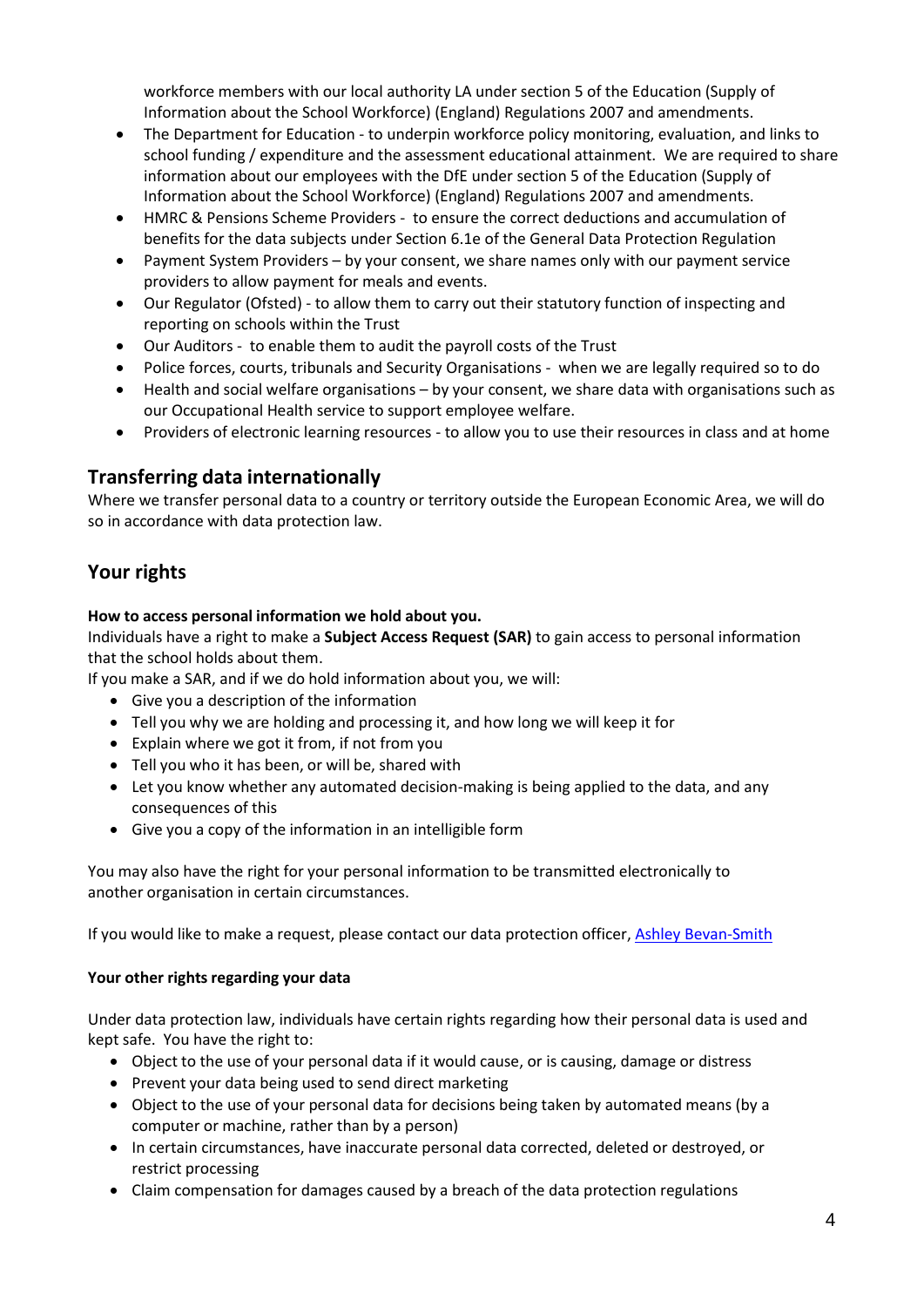workforce members with our local authority LA under section 5 of the Education (Supply of Information about the School Workforce) (England) Regulations 2007 and amendments.

- The Department for Education to underpin workforce policy monitoring, evaluation, and links to school funding / expenditure and the assessment educational attainment. We are required to share information about our employees with the DfE under section 5 of the Education (Supply of Information about the School Workforce) (England) Regulations 2007 and amendments.
- HMRC & Pensions Scheme Providers to ensure the correct deductions and accumulation of benefits for the data subjects under Section 6.1e of the General Data Protection Regulation
- Payment System Providers by your consent, we share names only with our payment service providers to allow payment for meals and events.
- Our Regulator (Ofsted) to allow them to carry out their statutory function of inspecting and reporting on schools within the Trust
- Our Auditors to enable them to audit the payroll costs of the Trust
- Police forces, courts, tribunals and Security Organisations when we are legally required so to do
- Health and social welfare organisations by your consent, we share data with organisations such as our Occupational Health service to support employee welfare.
- Providers of electronic learning resources to allow you to use their resources in class and at home

#### **Transferring data internationally**

Where we transfer personal data to a country or territory outside the European Economic Area, we will do so in accordance with data protection law.

# **Your rights**

#### **How to access personal information we hold about you.**

Individuals have a right to make a **Subject Access Request (SAR)** to gain access to personal information that the school holds about them.

If you make a SAR, and if we do hold information about you, we will:

- Give you a description of the information
- Tell you why we are holding and processing it, and how long we will keep it for
- Explain where we got it from, if not from you
- Tell you who it has been, or will be, shared with
- Let you know whether any automated decision-making is being applied to the data, and any consequences of this
- Give you a copy of the information in an intelligible form

You may also have the right for your personal information to be transmitted electronically to another organisation in certain circumstances.

If you would like to make a request, please contact our data protection officer[, Ashley Bevan-Smith](mailto:DPO@tcat.education)

#### **Your other rights regarding your data**

Under data protection law, individuals have certain rights regarding how their personal data is used and kept safe. You have the right to:

- Object to the use of your personal data if it would cause, or is causing, damage or distress
- Prevent your data being used to send direct marketing
- Object to the use of your personal data for decisions being taken by automated means (by a computer or machine, rather than by a person)
- In certain circumstances, have inaccurate personal data corrected, deleted or destroyed, or restrict processing
- Claim compensation for damages caused by a breach of the data protection regulations